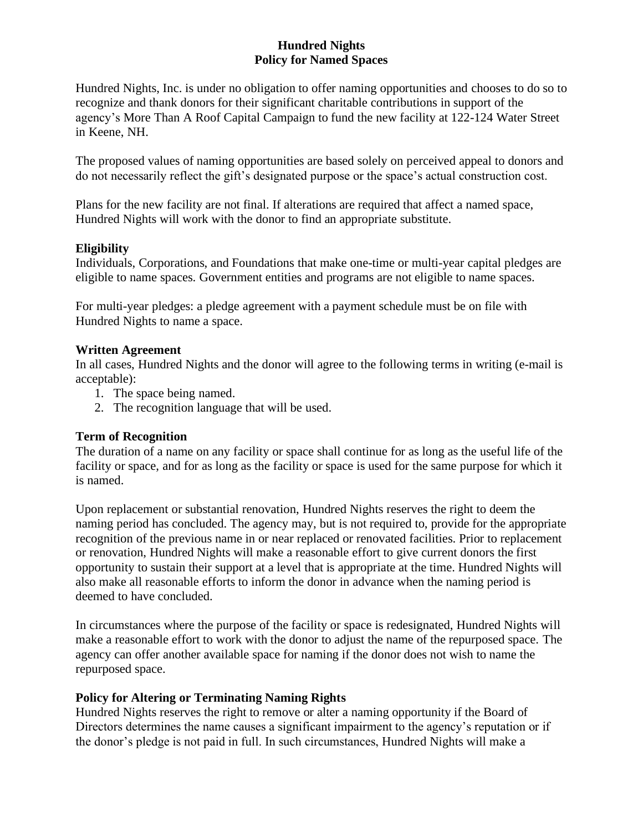### **Hundred Nights Policy for Named Spaces**

Hundred Nights, Inc. is under no obligation to offer naming opportunities and chooses to do so to recognize and thank donors for their significant charitable contributions in support of the agency's More Than A Roof Capital Campaign to fund the new facility at 122-124 Water Street in Keene, NH.

The proposed values of naming opportunities are based solely on perceived appeal to donors and do not necessarily reflect the gift's designated purpose or the space's actual construction cost.

Plans for the new facility are not final. If alterations are required that affect a named space, Hundred Nights will work with the donor to find an appropriate substitute.

## **Eligibility**

Individuals, Corporations, and Foundations that make one-time or multi-year capital pledges are eligible to name spaces. Government entities and programs are not eligible to name spaces.

For multi-year pledges: a pledge agreement with a payment schedule must be on file with Hundred Nights to name a space.

## **Written Agreement**

In all cases, Hundred Nights and the donor will agree to the following terms in writing (e-mail is acceptable):

- 1. The space being named.
- 2. The recognition language that will be used.

# **Term of Recognition**

The duration of a name on any facility or space shall continue for as long as the useful life of the facility or space, and for as long as the facility or space is used for the same purpose for which it is named.

Upon replacement or substantial renovation, Hundred Nights reserves the right to deem the naming period has concluded. The agency may, but is not required to, provide for the appropriate recognition of the previous name in or near replaced or renovated facilities. Prior to replacement or renovation, Hundred Nights will make a reasonable effort to give current donors the first opportunity to sustain their support at a level that is appropriate at the time. Hundred Nights will also make all reasonable efforts to inform the donor in advance when the naming period is deemed to have concluded.

In circumstances where the purpose of the facility or space is redesignated, Hundred Nights will make a reasonable effort to work with the donor to adjust the name of the repurposed space. The agency can offer another available space for naming if the donor does not wish to name the repurposed space.

# **Policy for Altering or Terminating Naming Rights**

Hundred Nights reserves the right to remove or alter a naming opportunity if the Board of Directors determines the name causes a significant impairment to the agency's reputation or if the donor's pledge is not paid in full. In such circumstances, Hundred Nights will make a